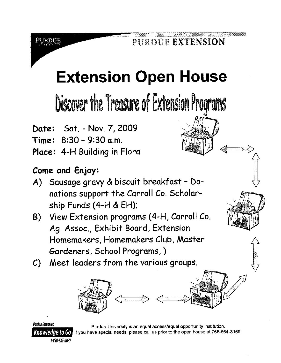## PURDUE EXTENSION

*\$." i \,1"}*

i (Carolina)

 $\mathbb{F}_3$ 

## **Extension Open House**

Discover the Treasure of Extension Programs

**Date:** Sat. - Nov. 7, 2009

8:30 - 9:30 a.m. Time:

Place: 4-H Building in Florc

## Come and Enjoy:

- A) Sausage gravy & biscuit breakfast Donations support the Carroll Co. Scholarship Funds (4-H & EH);
- B) View Extension programs (4-H, Carroll Co. Ag. Assoc., Exhibit Board, Extension Homemakers, Homemakers Club, Master Gardeners, School Programs, )
- C) Meet leaders from the various groups.



*1-88mHNFO*

**Purdue Extension Purdue University is an equal access/equal opportunity institution.** IN OWE CO TO TO If you have special needs, please call us prior to the open house at 765-564-3169.